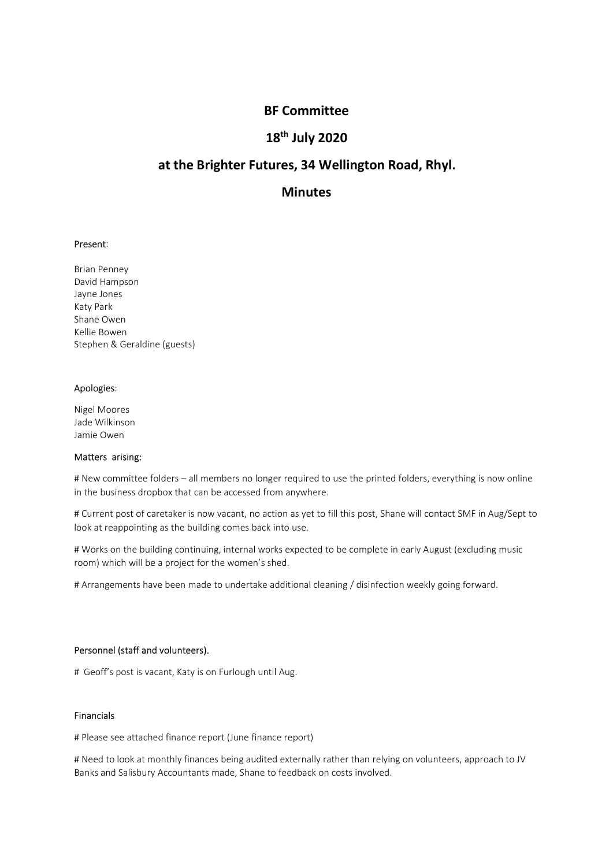# BF Committee<br>18<sup>th</sup> July 2020<br>tures, 34 Wellington Road, Rhyl. BF Committee<br>18<sup>th</sup> July 2020<br>tures, 34 Wellington Road, Rhyl.<br>Minutes BF Committee<br>18<sup>th</sup> July 2020<br>at the Brighter Futures, 34 Wellington Road, Rhyl.<br>Minutes

# **Minutes**

**BF Committee<br>
18<sup>th</sup> July 2020<br>
at the Brighter Futures, 34 Wellington Road, R<br>
Minutes<br>
Present:<br>
Present:<br>
Brian Penney<br>
David Hampson<br>
Asty Park<br>
Share Owen<br>
Stephen & Geraldine (guests) BF Committee<br>
18<sup>th</sup> July 2020**<br> **at the Brighter Futures, 34 Wellington Road, RI**<br> **Minutes**<br>
Present:<br>
Present:<br>
Brian Penney<br>
David Hampson<br>
Alayne Jones<br>
Share Owen<br>
Stephen & Geraldine (guests) **BF Committee<br>
18<sup>th</sup> July 2020<br>
at the Brighter Futures, 34 Wellington Road, RI<br>
Minutes<br>
Present:<br>
Prince Present:<br>
Brian Penney<br>
Alayne Jones<br>
Jayne Jones<br>
Katy Park<br>
Shane Owen<br>
Kathe Bowen<br>
Katy Park<br>
Shane Owen<br>
Shap BF Committee<br>
18<sup>th</sup> July 2020<br>
at the Brighter Futures, 34 Wellington Road, F<br>
Minutes<br>
Present:<br>
Present:<br>
Brian Penney<br>
David Hampson<br>
David Hampson<br>
Katy Park<br>
Share Owen<br>
Kellie Bowen<br>
Share Owen<br>
Share Owen<br>
Kellie BF Committee<br>
18<sup>th</sup> July 2020<br>
at the Brighter Futures, 34 Wellington Road, RM<br>
Minutes<br>
Present:<br>
Present:<br>
Brian Penney<br>
David Hampson<br>
Jayne Jones<br>
Katy Park<br>
Kathy Park<br>
Kathy Park<br>
Kathy Park<br>
Shane Owen<br>
Stephen & BF Committee<br>
18<sup>th</sup> July 2020**<br> **at the Brighter Futures, 34 Wellington Road, RI**<br> **Minutes**<br>
Present:<br>
Brian Penney<br>
Present:<br>
Brian Penney<br>
Jayre Jones<br>
Katy Park<br>
Kallie Bowen<br>
Kallie Bowen<br>
Kellie Bowen<br>
Kellie Bowen **Stephen & Geraldine (guests)**<br> **Stephen & Geraldine (guests)**<br> **Stephen & Geraldine (guests)**<br>
Share Penney<br>
Brain Penney<br>
Brain Penney<br>
Brain Penney<br>
Share Owen<br>
Share Owen<br>
Share Owen<br>
Share Owen<br>
Share Owen<br>
Share Owen **at the Brighter Futures, 34 Wellington Road, R**<br> **Minutes**<br>
Present:<br>
Brian Penney<br>
David Hampson<br>
Jayne Jones<br>
Katy Park<br>
Kaly Park<br>
Kellie Bowen<br>
Stephen & Geraldine (guests)<br>
Apologies:<br>
Apologies:<br>
Alex Corres<br>
Jade W **at the Brighter Futures, 34 Wellington Road, H<br>
Minutes<br>
Present:<br>
Brian Penney<br>
David Hampson<br>
Staty Park<br>
Staty Park<br>
Staty Park<br>
Staty Park<br>
Apologies:<br>
Apologies:<br>
Jade Wilkinson<br>
Jame Owen<br>
Matters arising:<br>
Jade Wil Minutes**<br> **Present:**<br>
Brian Penney<br>
David Hampson<br>
Jayne Jones<br>
Kalie Bowen<br>
Schare Owen<br>
Schare Willinson<br>
Apologies:<br>
Nigel Moores<br>
Jamie Owen<br>
Matters arising:<br>
Mexicon Matters arising:<br>
# New committee folders – all m Present:<br>
Brian Penney<br>
David Hampson<br>
Asty Park<br>
Share Owen<br>
Katy Park<br>
Share Owen<br>
Matters arising:<br>
Apologies:<br>
Matters arising:<br>
Matters arising:<br>
Muscommittee folders – all members no longer required to use the printe

rivelal Molores<br>
Nigel Molores<br>
Nigel Molores<br>
Jade Wilkinson<br>
Jamie Owen<br>
Matters arising:<br>
If New committee folders – all members no longer required to use the printed folders, everything is no<br>
H Current post of caretak

**Present:**<br>Bavid Hampson<br>Jayle Jearls<br>Kaly Park<br>Kaline Owen<br>Shane Owen<br>Aland Mark Geraldine (guests)<br>Apologies:<br>Migel Moores<br>Jame Committee folders – all members no longer required to use the printed folders, everything is **Present:**<br>
Brian Penney<br>
Brian Penney<br>
Jayne Jones<br>
Katy Park<br>
Kathe Dowen<br>
Shane Owen<br>
Shane Owen<br>
Shane Wilkinson<br>
Matters arising:<br>
Michael Mones<br>
In the business dropbox that can be accessed from anywhere.<br>
If Current Brian Penney<br>Bayle Hampson<br>Hayle Jones<br>Karle Dowen<br>Khane Owen<br>Shane Owen<br>Marters arising:<br>Motodysis:<br>Motor of caretaker is now vacant, no action as yet to fill this post, Shane will contact SMF in Aug/Sept to<br>in the busine lanan Penney<br>David Hampson<br>David Hampson<br>Katy Park<br>Katy Park<br>Kellie Bowen<br>Mellie Bowen<br>Mellie Bowen<br>Mellie Bowen<br>Mellie Bowen<br>Mellie Comes<br>Tate Wilkinson<br>Matters arising:<br>The West complete as discussed from anywhere.<br>The p layne Jones<br>Katy Park<br>Katy Park<br>*R*elie Bowen<br>*Relie Bowen*<br>*Relie Bowen*<br>*Matters arising:*<br>*Here Werks on the building continuing, internal on the prince in earlier of blders, everything is now online<br>in the building con* Kary Park<br>Khane Owen<br>Shane Owen<br>Matters are diffused in guests)<br>Apologies:<br>Migel Moores<br>Matters arising:<br>Meters arising:<br>Here committee folders – all members no longer required to use the printed folders, everything is now Kellie Bowen<br>
Apologies:<br>
Algel Moores<br>
Juige Moores<br>
Juige Moores<br>
Juige Moores<br>
Matters arising:<br>
Meters or sing:<br>
Meters arising:<br>
Meters or sing:<br>
Meters arising:<br>
After post of caretaker is now vecant, no action as ye -<br>hade Wilkinson<br>Jame Wilkinson<br>Anters raising:<br>When the Owen interest delets – all members no longer required to use the printed folders, everything is now online<br>H New committee folders – all members in online are to fil **A** New committee Toters – all memors in o longer required to use the princed rouders, everytning is now online<br>in the business dropbox that can be accessed from anywhere.<br>
# Current post of caretaker is now vacant, no act # Current post of caretaker is now vacant, no action as yet to fill this post, Shane will contact SMF in Aug/Sept to<br>look at reappointing as the building common shock into use.<br>H Works on the building continuing, internal

## Financials

m current post or caretaters is now vacant, no action as yet to mill this post, shane will contact swir in Augusept to look at reappointing as the building comes back into use.<br>H Works on the building continuing, internal